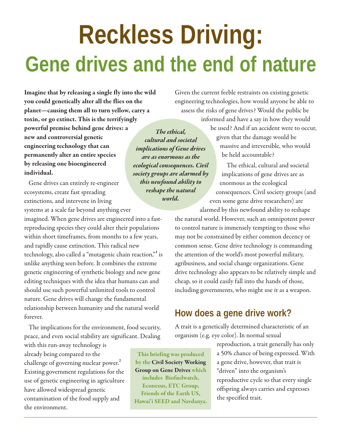# **Reckless Driving: Gene drives and the end of nature**

**Imagine that by releasing a single fly into the wild you could genetically alter all the flies on the planet—causing them all to turn yellow, carry a toxin, or go extinct. This is the terrifyingly powerful premise behind gene drives: a new and controversial genetic engineering technology that can permanently alter an entire species by releasing one bioengineered individual.** 

Gene drives can entirely re-engineer ecosystems, create fast spreading extinctions, and intervene in living systems at a scale far beyond anything ever

imagined. When gene drives are engineered into a fastreproducing species they could alter their populations within short timeframes, from months to a few years, and rapidly cause extinction. This radical new technology, also called a "mutagenic chain reaction,"**<sup>1</sup>** is unlike anything seen before. It combines the extreme genetic engineering of synthetic biology and new gene editing techniques with the idea that humans can and should use such powerful unlimited tools to control nature. Gene drives will change the fundamental relationship between humanity and the natural world forever.

The implications for the environment, food security, peace, and even social stability are significant. Dealing

with this run-away technology is already being compared to the challenge of governing nuclear power.**<sup>2</sup>** Existing government regulations for the use of genetic engineering in agriculture have allowed widespread genetic contamination of the food supply and the environment.

*The ethical, cultural and societal implications of Gene drives are as enormous as the ecological consequences. Civil society groups are alarmed by this newfound ability to reshape the natural world.* 

Given the current feeble restraints on existing genetic engineering technologies, how would anyone be able to assess the risks of gene drives? Would the public be

> informed and have a say in how they would be used? And if an accident were to occur, given that the damage would be massive and irreversible, who would be held accountable?

The ethical, cultural and societal implications of gene drives are as enormous as the ecological consequences. Civil society groups (and even some gene drive researchers) are alarmed by this newfound ability to reshape

the natural world. However, such an omnipotent power to control nature is immensely tempting to those who may not be constrained by either common decency or common sense. Gene drive technology is commanding the attention of the world's most powerful military, agribusiness, and social change organizations. Gene drive technology also appears to be relatively simple and cheap, so it could easily fall into the hands of those, including governments, who might use it as a weapon.

## **How does a gene drive work?**

A trait is a genetically determined characteristic of an organism (e.g. eye color). In normal sexual

**This briefing was produced by the Civil Society Working Group on Gene Drives which includes Biofuelwatch, Econexus, ETC Group, Friends of the Earth US, Hawai'i SEED and Navdanya.** reproduction, a trait generally has only a 50% chance of being expressed. With a gene drive, however, that trait is "driven" into the organism's reproductive cycle so that every single offspring always carries and expresses the specified trait.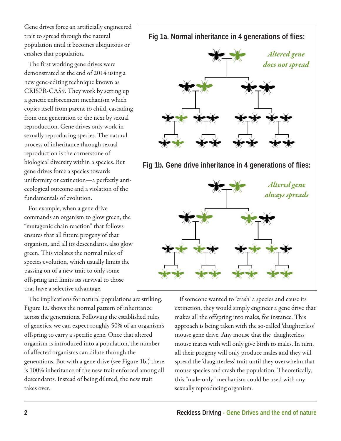Gene drives force an artificially engineered trait to spread through the natural population until it becomes ubiquitous or crashes that population.

The first working gene drives were demonstrated at the end of 2014 using a new gene-editing technique known as CRISPR-CAS9. They work by setting up a genetic enforcement mechanism which copies itself from parent to child, cascading from one generation to the next by sexual reproduction. Gene drives only work in sexually reproducing species. The natural process of inheritance through sexual reproduction is the cornerstone of biological diversity within a species. But gene drives force a species towards uniformity or extinction—a perfectly antiecological outcome and a violation of the fundamentals of evolution.

For example, when a gene drive commands an organism to glow green, the "mutagenic chain reaction" that follows ensures that all future progeny of that organism, and all its descendants, also glow green. This violates the normal rules of species evolution, which usually limits the passing on of a new trait to only some offspring and limits its survival to those that have a selective advantage.

The implications for natural populations are striking. Figure 1a. shows the normal pattern of inheritance across the generations. Following the established rules of genetics, we can expect roughly 50% of an organism's offspring to carry a specific gene. Once that altered organism is introduced into a population, the number of affected organisms can dilute through the generations. But with a gene drive (see Figure 1b.) there is 100% inheritance of the new trait enforced among all descendants. Instead of being diluted, the new trait takes over.

**Fig 1a. Normal inheritance in 4 generations of flies:**



**Fig 1b. Gene drive inheritance in 4 generations of flies:**



If someone wanted to 'crash' a species and cause its extinction, they would simply engineer a gene drive that makes all the offspring into males, for instance. This approach is being taken with the so-called 'daughterless' mouse gene drive. Any mouse that the daughterless mouse mates with will only give birth to males. In turn, all their progeny will only produce males and they will spread the 'daughterless' trait until they overwhelm that mouse species and crash the population. Theoretically, this "male-only" mechanism could be used with any sexually reproducing organism.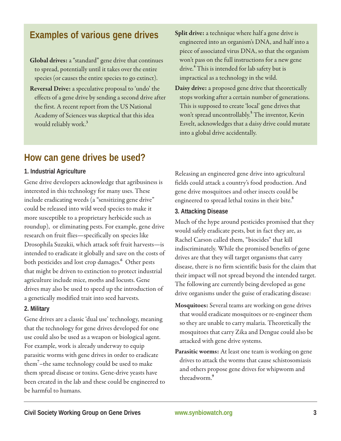## **Examples of various gene drives**

**Global drives:**a "standard" gene drive that continues to spread, potentially until it takes over the entire species (or causes the entire species to go extinct).

- **Reversal Drive:** a speculative proposal to 'undo' the effects of a gene drive by sending a second drive after the first. A recent report from the US National Academy of Sciences was skeptical that this idea would reliably work.**<sup>3</sup>**
- **Split drive:** a technique where half a gene drive is engineered into an organism's DNA, and half into a piece of associated virus DNA, so that the organism won't pass on the full instructions for a new gene drive.**<sup>4</sup>** This is intended for lab safety but is impractical as a technology in the wild.
- **Daisy drive:** a proposed gene drive that theoretically stops working after a certain number of generations. This is supposed to create 'local' gene drives that won't spread uncontrollably.**<sup>5</sup>** The inventor, Kevin Esvelt, acknowledges that a daisy drive could mutate into a global drive accidentally.

## **How can gene drives be used?**

### **1. Industrial Agriculture**

Gene drive developers acknowledge that agribusiness is interested in this technology for many uses. These include eradicating weeds (a "sensitizing gene drive" could be released into wild weed species to make it more susceptible to a proprietary herbicide such as roundup), or eliminating pests. For example, gene drive research on fruit flies—specifically on species like Drosophila Suzukii, which attack soft fruit harvests—is intended to eradicate it globally and save on the costs of both pesticides and lost crop damages.**<sup>6</sup>** Other pests that might be driven to extinction to protect industrial agriculture include mice, moths and locusts. Gene drives may also be used to speed up the introduction of a genetically modified trait into seed harvests.

## **2. Military**

Gene drives are a classic 'dual use' technology, meaning that the technology for gene drives developed for one use could also be used as a weapon or biological agent. For example, work is already underway to equip parasitic worms with gene drives in order to eradicate them**<sup>7</sup>** –the same technology could be used to make them spread disease or toxins. Gene-drive yeasts have been created in the lab and these could be engineered to be harmful to humans.

Releasing an engineered gene drive into agricultural fields could attack a country's food production. And gene drive mosquitoes and other insects could be engineered to spread lethal toxins in their bite.**<sup>8</sup>**

#### **3. Attacking Disease**

Much of the hype around pesticides promised that they would safely eradicate pests, but in fact they are, as Rachel Carson called them, "biocides" that kill indiscriminately. While the promised benefits of gene drives are that they will target organisms that carry disease, there is no firm scientific basis for the claim that their impact will not spread beyond the intended target. The following are currently being developed as gene drive organisms under the guise of eradicating disease:

- **Mosquitoes:** Several teams are working on gene drives that would eradicate mosquitoes or re-engineer them so they are unable to carry malaria. Theoretically the mosquitoes that carry Zika and Dengue could also be attacked with gene drive systems.
- **Parasitic worms:** At least one team is working on gene drives to attack the worms that cause schistosomiasis and others propose gene drives for whipworm and threadworm.**<sup>9</sup>**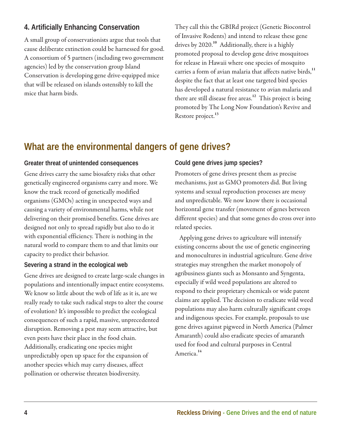## **4. Artificially Enhancing Conservation**

A small group of conservationists argue that tools that cause deliberate extinction could be harnessed for good. A consortium of 5 partners (including two government agencies) led by the conservation group Island Conservation is developing gene drive-equipped mice that will be released on islands ostensibly to kill the mice that harm birds.

They call this the GBIRd project (Genetic Biocontrol of Invasive Rodents) and intend to release these gene drives by 2020.**<sup>10</sup>** Additionally, there is a highly promoted proposal to develop gene drive mosquitoes for release in Hawaii where one species of mosquito carries a form of avian malaria that affects native birds,**<sup>11</sup>** despite the fact that at least one targeted bird species has developed a natural resistance to avian malaria and there are still disease free areas.**<sup>12</sup>** This project is being promoted by The Long Now Foundation's Revive and Restore project.**<sup>13</sup>**

# **What are the environmental dangers of gene drives?**

#### **Greater threat of unintended consequences**

Gene drives carry the same biosafety risks that other genetically engineered organisms carry and more. We know the track record of genetically modified organisms (GMOs) acting in unexpected ways and causing a variety of environmental harms, while not delivering on their promised benefits. Gene drives are designed not only to spread rapidly but also to do it with exponential efficiency. There is nothing in the natural world to compare them to and that limits our capacity to predict their behavior.

#### **Severing a strand in the ecological web**

Gene drives are designed to create large-scale changes in populations and intentionally impact entire ecosystems. We know so little about the web of life as it is, are we really ready to take such radical steps to alter the course of evolution? It's impossible to predict the ecological consequences of such a rapid, massive, unprecedented disruption. Removing a pest may seem attractive, but even pests have their place in the food chain. Additionally, eradicating one species might unpredictably open up space for the expansion of another species which may carry diseases, affect pollination or otherwise threaten biodiversity.

#### **Could gene drives jump species?**

Promoters of gene drives present them as precise mechanisms, just as GMO promoters did. But living systems and sexual reproduction processes are messy and unpredictable. We now know there is occasional horizontal gene transfer (movement of genes between different species) and that some genes do cross over into related species.

Applying gene drives to agriculture will intensify existing concerns about the use of genetic engineering and monocultures in industrial agriculture. Gene drive strategies may strengthen the market monopoly of agribusiness giants such as Monsanto and Syngenta, especially if wild weed populations are altered to respond to their proprietary chemicals or wide patent claims are applied. The decision to eradicate wild weed populations may also harm culturally significant crops and indigenous species. For example, proposals to use gene drives against pigweed in North America (Palmer Amaranth) could also eradicate species of amaranth used for food and cultural purposes in Central America.**<sup>14</sup>**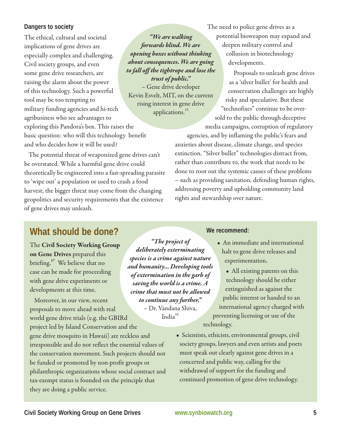#### **Dangers to society**

The ethical, cultural and societal implications of gene drives are especially complex and challenging. Civil society groups, and even some gene drive researchers, are raising the alarm about the power of this technology. Such a powerful tool may be too tempting to military funding agencies and hi-tech agribusiness who see advantages to exploring this Pandora's box. This raises the basic question: who will this technology benefit and who decides how it will be used?

The potential threat of weaponized gene drives can't

theoretically be engineered into a fast-spreading parasite

harvest, the bigger threat may come from the changing geopolitics and security requirements that the existence

be overstated. While a harmful gene drive could

to 'wipe out' a population or used to crash a food

*"We are walking forwards blind. We are opening boxes without thinking about consequences. We are going to fall off the tightrope and lose the trust of public."*  – Gene drive developer Kevin Esvelt, MIT, on the current rising interest in gene drive

applications.<sup>15</sup>

The need to police gene drives as a potential bioweapon may expand and deepen military control and collusion in biotechnology developments.

> Proposals to unleash gene drives as a 'silver bullet' for health and conservation challenges are highly risky and speculative. But these "technofixes" continue to be over-

sold to the public through deceptive media campaigns, corruption of regulatory

agencies, and by inflaming the public's fears and anxieties about disease, climate change, and species extinction. "Silver bullet" technologies distract from, rather than contribute to, the work that needs to be done to root out the systemic causes of these problems – such as providing sanitation, defending human rights, addressing poverty and upholding community land rights and stewardship over nature.

## **What should be done?**

of gene drives may unleash.

The **Civil Society Working Group on Gene Drives** prepared this briefing.**<sup>17</sup>** We believe that no case can be made for proceeding with gene drive experiments or developments at this time.

Moreover, in our view, recent proposals to move ahead with real world gene drive trials (e.g. the GBIRd

project led by Island Conservation and the gene drive mosquito in Hawaii) are reckless and irresponsible and do not reflect the essential values of the conservation movement. Such projects should not be funded or promoted by non-profit groups or philanthropic organizations whose social contract and tax-exempt status is founded on the principle that they are doing a public service.

*"The project of deliberately exterminating species is a crime against nature and humanity… Developing tools of extermination in the garb of saving the world is a crime. A crime that must not be allowed to continue any further."*  – Dr. Vandana Shiva, India $16$ 

**We recommend:**

- An immediate and international halt to gene drive releases and experimentation.
- All existing patents on this technology should be either extinguished as against the public interest or handed to an international agency charged with preventing licensing or use of the technology.
- Scientists, ethicists, environmental groups, civil society groups, lawyers and even artists and poets must speak out clearly against gene drives in a concerted and public way, calling for the withdrawal of support for the funding and continued promotion of gene drive technology.